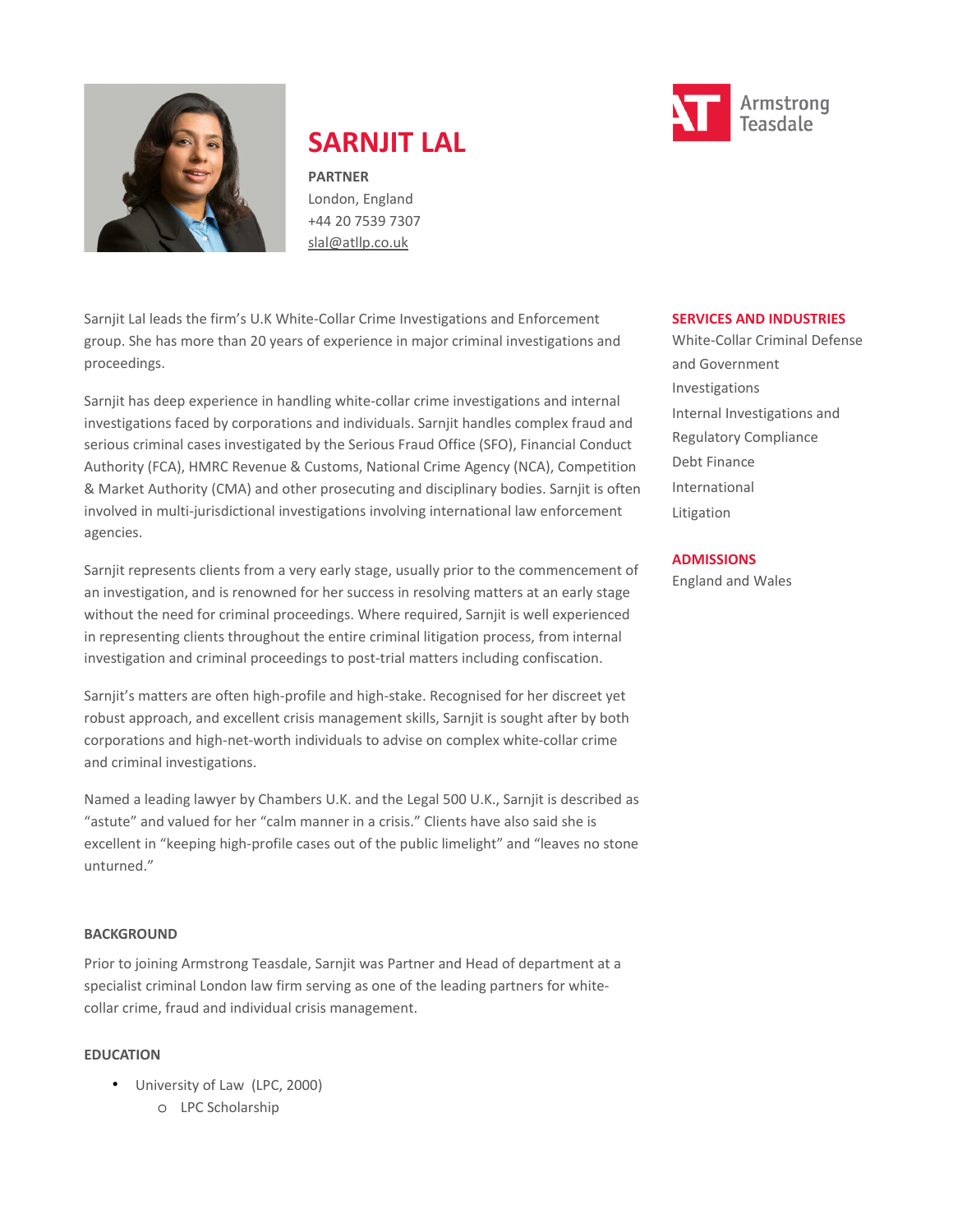

# **SARNJIT LAL**

**PARTNER** London, England +44 20 7539 7307 [slal@atllp.co.uk](mailto:slal@atllp.co.uk)

Sarnjit Lal leads the firm's U.K White-Collar Crime Investigations and Enforcement group. She has more than 20 years of experience in major criminal investigations and proceedings.

Sarnjit has deep experience in handling white-collar crime investigations and internal investigations faced by corporations and individuals. Sarnjit handles complex fraud and serious criminal cases investigated by the Serious Fraud Office (SFO), Financial Conduct Authority (FCA), HMRC Revenue & Customs, National Crime Agency (NCA), Competition & Market Authority (CMA) and other prosecuting and disciplinary bodies. Sarnjit is often involved in multi-jurisdictional investigations involving international law enforcement agencies.

Sarnjit represents clients from a very early stage, usually prior to the commencement of an investigation, and is renowned for her success in resolving matters at an early stage without the need for criminal proceedings. Where required, Sarnjit is well experienced in representing clients throughout the entire criminal litigation process, from internal investigation and criminal proceedings to post-trial matters including confiscation.

Sarnjit's matters are often high-profile and high-stake. Recognised for her discreet yet robust approach, and excellent crisis management skills, Sarnjit is sought after by both corporations and high-net-worth individuals to advise on complex white-collar crime and criminal investigations.

Named a leading lawyer by Chambers U.K. and the Legal 500 U.K., Sarnjit is described as "astute" and valued for her "calm manner in a crisis." Clients have also said she is excellent in "keeping high-profile cases out of the public limelight" and "leaves no stone unturned."

#### **BACKGROUND**

Prior to joining Armstrong Teasdale, Sarnjit was Partner and Head of department at a specialist criminal London law firm serving as one of the leading partners for whitecollar crime, fraud and individual crisis management.

#### **EDUCATION**

• University of Law (LPC, 2000) o LPC Scholarship



White-Collar Criminal Defense and Government Investigations Internal Investigations and Regulatory Compliance Debt Finance International Litigation

#### **ADMISSIONS**

England and Wales